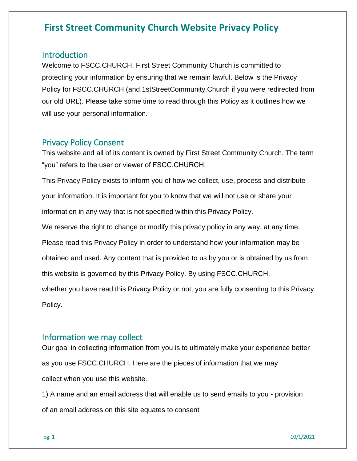### Introduction

Welcome to FSCC.CHURCH. First Street Community Church is committed to protecting your information by ensuring that we remain lawful. Below is the Privacy Policy for FSCC.CHURCH (and 1stStreetCommunity.Church if you were redirected from our old URL). Please take some time to read through this Policy as it outlines how we will use your personal information.

### Privacy Policy Consent

This website and all of its content is owned by First Street Community Church. The term "you" refers to the user or viewer of FSCC.CHURCH.

This Privacy Policy exists to inform you of how we collect, use, process and distribute your information. It is important for you to know that we will not use or share your information in any way that is not specified within this Privacy Policy.

We reserve the right to change or modify this privacy policy in any way, at any time.

Please read this Privacy Policy in order to understand how your information may be

obtained and used. Any content that is provided to us by you or is obtained by us from

this website is governed by this Privacy Policy. By using FSCC.CHURCH,

whether you have read this Privacy Policy or not, you are fully consenting to this Privacy Policy.

### Information we may collect

Our goal in collecting information from you is to ultimately make your experience better as you use FSCC.CHURCH. Here are the pieces of information that we may collect when you use this website.

1) A name and an email address that will enable us to send emails to you - provision of an email address on this site equates to consent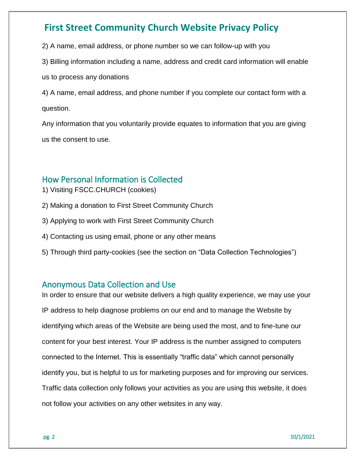2) A name, email address, or phone number so we can follow-up with you

3) Billing information including a name, address and credit card information will enable

us to process any donations

4) A name, email address, and phone number if you complete our contact form with a question.

Any information that you voluntarily provide equates to information that you are giving us the consent to use.

## How Personal Information is Collected

- 1) Visiting FSCC.CHURCH (cookies)
- 2) Making a donation to First Street Community Church
- 3) Applying to work with First Street Community Church
- 4) Contacting us using email, phone or any other means
- 5) Through third party-cookies (see the section on "Data Collection Technologies")

### Anonymous Data Collection and Use

In order to ensure that our website delivers a high quality experience, we may use your IP address to help diagnose problems on our end and to manage the Website by identifying which areas of the Website are being used the most, and to fine-tune our content for your best interest. Your IP address is the number assigned to computers connected to the Internet. This is essentially "traffic data" which cannot personally identify you, but is helpful to us for marketing purposes and for improving our services. Traffic data collection only follows your activities as you are using this website, it does not follow your activities on any other websites in any way.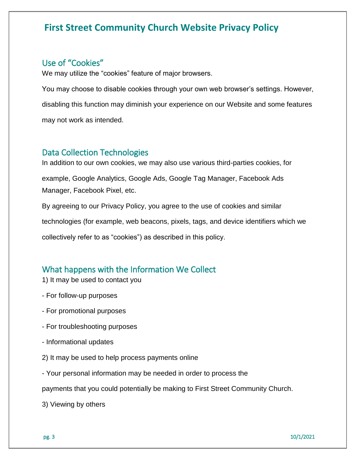### Use of "Cookies"

We may utilize the "cookies" feature of major browsers.

You may choose to disable cookies through your own web browser's settings. However, disabling this function may diminish your experience on our Website and some features may not work as intended.

#### Data Collection Technologies

In addition to our own cookies, we may also use various third-parties cookies, for example, Google Analytics, Google Ads, Google Tag Manager, Facebook Ads Manager, Facebook Pixel, etc. By agreeing to our Privacy Policy, you agree to the use of cookies and similar

technologies (for example, web beacons, pixels, tags, and device identifiers which we

collectively refer to as "cookies") as described in this policy.

## What happens with the Information We Collect

- 1) It may be used to contact you
- For follow-up purposes
- For promotional purposes
- For troubleshooting purposes
- Informational updates
- 2) It may be used to help process payments online
- Your personal information may be needed in order to process the

payments that you could potentially be making to First Street Community Church.

3) Viewing by others

pg. 3 10/1/2021